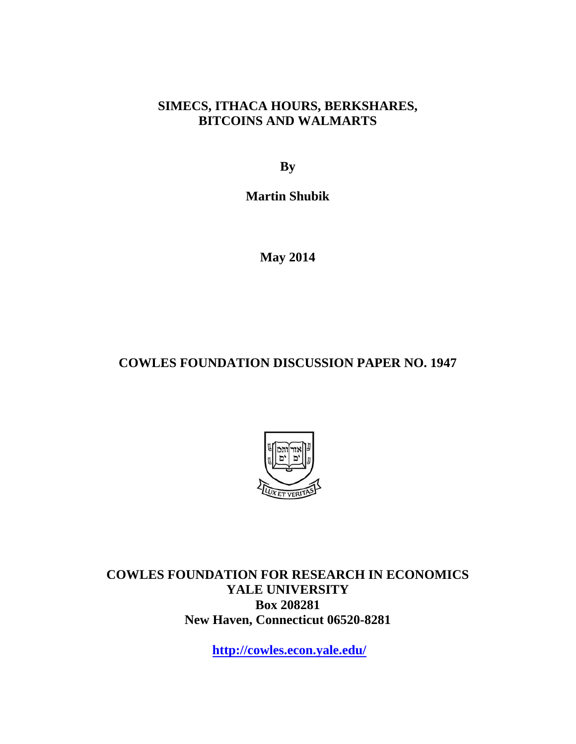# **SIMECS, ITHACA HOURS, BERKSHARES, BITCOINS AND WALMARTS**

**By** 

**Martin Shubik** 

**May 2014** 

# **COWLES FOUNDATION DISCUSSION PAPER NO. 1947**



**COWLES FOUNDATION FOR RESEARCH IN ECONOMICS YALE UNIVERSITY Box 208281 New Haven, Connecticut 06520-8281** 

**http://cowles.econ.yale.edu/**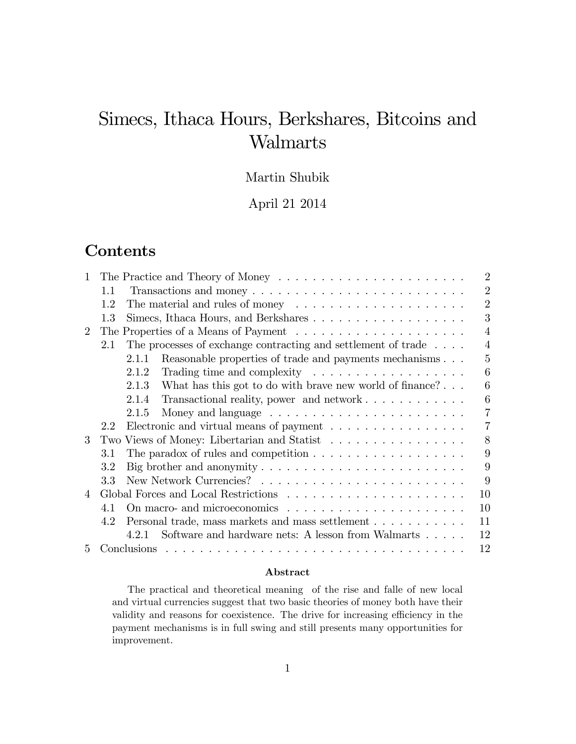# Simecs, Ithaca Hours, Berkshares, Bitcoins and Walmarts

## Martin Shubik

April 21 2014

# **Contents**

| $\mathbf{1}$   |                                                                                                    | $\overline{2}$ |
|----------------|----------------------------------------------------------------------------------------------------|----------------|
|                | 1.1<br>Transactions and money $\dots \dots \dots \dots \dots \dots \dots \dots \dots \dots$        | $\overline{2}$ |
|                | The material and rules of money $\dots \dots \dots \dots \dots \dots \dots$<br>1.2                 | $\overline{2}$ |
|                | 1.3                                                                                                | 3              |
| $\overline{2}$ |                                                                                                    | $\overline{4}$ |
|                | The processes of exchange contracting and settlement of trade $\dots$<br>2.1                       | 4              |
|                | Reasonable properties of trade and payments mechanisms<br>2.1.1                                    | $\mathbf{5}$   |
|                | 2.1.2<br>Trading time and complexity $\ldots \ldots \ldots \ldots \ldots \ldots$                   | 6              |
|                | 2.1.3<br>What has this got to do with brave new world of finance? $\ldots$                         | 6              |
|                | Transactional reality, power and network $\dots \dots \dots \dots$<br>2.1.4                        | 6              |
|                | 2.1.5                                                                                              | 7              |
|                | Electronic and virtual means of payment $\dots \dots \dots \dots \dots$<br>2.2                     | $\overline{7}$ |
| 3              | Two Views of Money: Libertarian and Statist                                                        | 8              |
|                | The paradox of rules and competition $\ldots \ldots \ldots \ldots \ldots \ldots$<br>3.1            | 9              |
|                | Big brother and anonymity $\dots \dots \dots \dots \dots \dots \dots \dots \dots \dots$<br>$3.2\,$ | 9              |
|                | 3.3                                                                                                | 9              |
| 4              |                                                                                                    | 10             |
|                | On macro- and microeconomics<br>41                                                                 | 10             |
|                | Personal trade, mass markets and mass settlement<br>4.2                                            | 11             |
|                | Software and hardware nets: A lesson from Walmarts<br>4.2.1                                        | 12             |
| 5              | Conclusions                                                                                        | 12             |

#### Abstract

The practical and theoretical meaning of the rise and falle of new local and virtual currencies suggest that two basic theories of money both have their validity and reasons for coexistence. The drive for increasing efficiency in the payment mechanisms is in full swing and still presents many opportunities for improvement.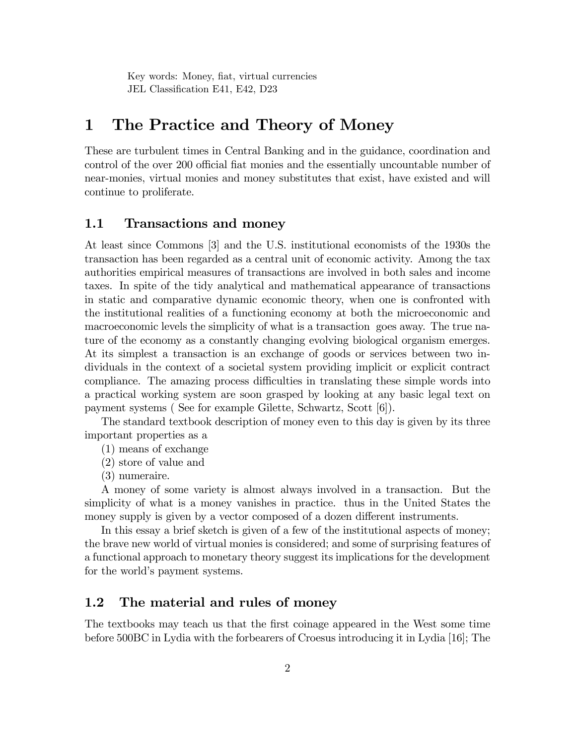Key words: Money, fiat, virtual currencies JEL Classification E41, E42, D23

# 1 The Practice and Theory of Money

These are turbulent times in Central Banking and in the guidance, coordination and control of the over 200 official fiat monies and the essentially uncountable number of near-monies, virtual monies and money substitutes that exist, have existed and will continue to proliferate.

### 1.1 Transactions and money

At least since Commons [3] and the U.S. institutional economists of the 1930s the transaction has been regarded as a central unit of economic activity. Among the tax authorities empirical measures of transactions are involved in both sales and income taxes. In spite of the tidy analytical and mathematical appearance of transactions in static and comparative dynamic economic theory, when one is confronted with the institutional realities of a functioning economy at both the microeconomic and macroeconomic levels the simplicity of what is a transaction goes away. The true nature of the economy as a constantly changing evolving biological organism emerges. At its simplest a transaction is an exchange of goods or services between two individuals in the context of a societal system providing implicit or explicit contract compliance. The amazing process difficulties in translating these simple words into a practical working system are soon grasped by looking at any basic legal text on payment systems ( See for example Gilette, Schwartz, Scott [6]).

The standard textbook description of money even to this day is given by its three important properties as a

(1) means of exchange

(2) store of value and

(3) numeraire.

A money of some variety is almost always involved in a transaction. But the simplicity of what is a money vanishes in practice. thus in the United States the money supply is given by a vector composed of a dozen different instruments.

In this essay a brief sketch is given of a few of the institutional aspects of money; the brave new world of virtual monies is considered; and some of surprising features of a functional approach to monetary theory suggest its implications for the development for the world's payment systems.

### 1.2 The material and rules of money

The textbooks may teach us that the first coinage appeared in the West some time before 500BC in Lydia with the forbearers of Croesus introducing it in Lydia [16]; The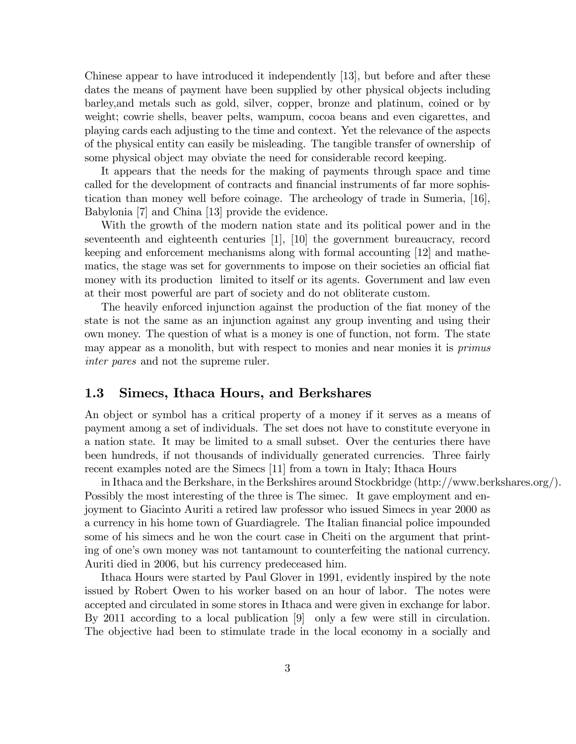Chinese appear to have introduced it independently [13], but before and after these dates the means of payment have been supplied by other physical objects including barley,and metals such as gold, silver, copper, bronze and platinum, coined or by weight; cowrie shells, beaver pelts, wampum, cocoa beans and even cigarettes, and playing cards each adjusting to the time and context. Yet the relevance of the aspects of the physical entity can easily be misleading. The tangible transfer of ownership of some physical object may obviate the need for considerable record keeping.

It appears that the needs for the making of payments through space and time called for the development of contracts and financial instruments of far more sophistication than money well before coinage. The archeology of trade in Sumeria, [16], Babylonia [7] and China [13] provide the evidence.

With the growth of the modern nation state and its political power and in the seventeenth and eighteenth centuries [1], [10] the government bureaucracy, record keeping and enforcement mechanisms along with formal accounting [12] and mathematics, the stage was set for governments to impose on their societies an official fiat money with its production limited to itself or its agents. Government and law even at their most powerful are part of society and do not obliterate custom.

The heavily enforced injunction against the production of the flat money of the state is not the same as an injunction against any group inventing and using their own money. The question of what is a money is one of function, not form. The state may appear as a monolith, but with respect to monies and near monies it is *primus* inter pares and not the supreme ruler.

### 1.3 Simecs, Ithaca Hours, and Berkshares

An object or symbol has a critical property of a money if it serves as a means of payment among a set of individuals. The set does not have to constitute everyone in a nation state. It may be limited to a small subset. Over the centuries there have been hundreds, if not thousands of individually generated currencies. Three fairly recent examples noted are the Simecs [11] from a town in Italy; Ithaca Hours

in Ithaca and the Berkshare, in the Berkshires around Stockbridge (http://www.berkshares.org/). Possibly the most interesting of the three is The simec. It gave employment and enjoyment to Giacinto Auriti a retired law professor who issued Simecs in year 2000 as a currency in his home town of Guardiagrele. The Italian financial police impounded some of his simecs and he won the court case in Cheiti on the argument that printing of one's own money was not tantamount to counterfeiting the national currency. Auriti died in 2006, but his currency predeceased him.

Ithaca Hours were started by Paul Glover in 1991, evidently inspired by the note issued by Robert Owen to his worker based on an hour of labor. The notes were accepted and circulated in some stores in Ithaca and were given in exchange for labor. By 2011 according to a local publication [9] only a few were still in circulation. The objective had been to stimulate trade in the local economy in a socially and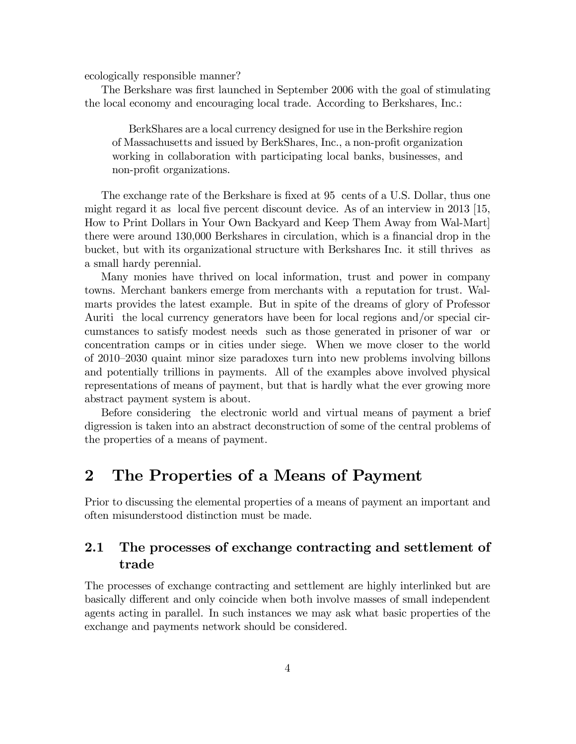ecologically responsible manner?

The Berkshare was first launched in September 2006 with the goal of stimulating the local economy and encouraging local trade. According to Berkshares, Inc.:

BerkShares are a local currency designed for use in the Berkshire region of Massachusetts and issued by BerkShares, Inc., a non-profit organization working in collaboration with participating local banks, businesses, and non-profit organizations.

The exchange rate of the Berkshare is fixed at 95 cents of a U.S. Dollar, thus one might regard it as local five percent discount device. As of an interview in  $2013$  [15, How to Print Dollars in Your Own Backyard and Keep Them Away from Wal-Mart] there were around 130,000 Berkshares in circulation, which is a financial drop in the bucket, but with its organizational structure with Berkshares Inc. it still thrives as a small hardy perennial.

Many monies have thrived on local information, trust and power in company towns. Merchant bankers emerge from merchants with a reputation for trust. Walmarts provides the latest example. But in spite of the dreams of glory of Professor Auriti the local currency generators have been for local regions and/or special circumstances to satisfy modest needs such as those generated in prisoner of war or concentration camps or in cities under siege. When we move closer to the world of 2010–2030 quaint minor size paradoxes turn into new problems involving billons and potentially trillions in payments. All of the examples above involved physical representations of means of payment, but that is hardly what the ever growing more abstract payment system is about.

Before considering the electronic world and virtual means of payment a brief digression is taken into an abstract deconstruction of some of the central problems of the properties of a means of payment.

# 2 The Properties of a Means of Payment

Prior to discussing the elemental properties of a means of payment an important and often misunderstood distinction must be made.

### 2.1 The processes of exchange contracting and settlement of trade

The processes of exchange contracting and settlement are highly interlinked but are basically different and only coincide when both involve masses of small independent agents acting in parallel. In such instances we may ask what basic properties of the exchange and payments network should be considered.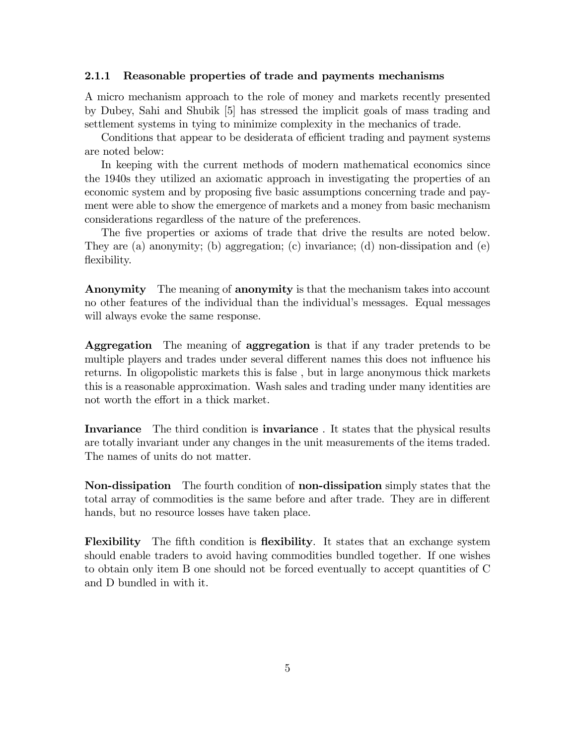#### 2.1.1 Reasonable properties of trade and payments mechanisms

A micro mechanism approach to the role of money and markets recently presented by Dubey, Sahi and Shubik [5] has stressed the implicit goals of mass trading and settlement systems in tying to minimize complexity in the mechanics of trade.

Conditions that appear to be desiderate of efficient trading and payment systems are noted below:

In keeping with the current methods of modern mathematical economics since the 1940s they utilized an axiomatic approach in investigating the properties of an economic system and by proposing five basic assumptions concerning trade and payment were able to show the emergence of markets and a money from basic mechanism considerations regardless of the nature of the preferences.

The five properties or axioms of trade that drive the results are noted below. They are (a) anonymity; (b) aggregation; (c) invariance; (d) non-dissipation and (e) flexibility.

**Anonymity** The meaning of **anonymity** is that the mechanism takes into account no other features of the individual than the individual's messages. Equal messages will always evoke the same response.

Aggregation The meaning of aggregation is that if any trader pretends to be multiple players and trades under several different names this does not influence his returns. In oligopolistic markets this is false , but in large anonymous thick markets this is a reasonable approximation. Wash sales and trading under many identities are not worth the effort in a thick market.

Invariance The third condition is **invariance**. It states that the physical results are totally invariant under any changes in the unit measurements of the items traded. The names of units do not matter.

Non-dissipation The fourth condition of non-dissipation simply states that the total array of commodities is the same before and after trade. They are in different hands, but no resource losses have taken place.

Flexibility The fifth condition is flexibility. It states that an exchange system should enable traders to avoid having commodities bundled together. If one wishes to obtain only item B one should not be forced eventually to accept quantities of C and D bundled in with it.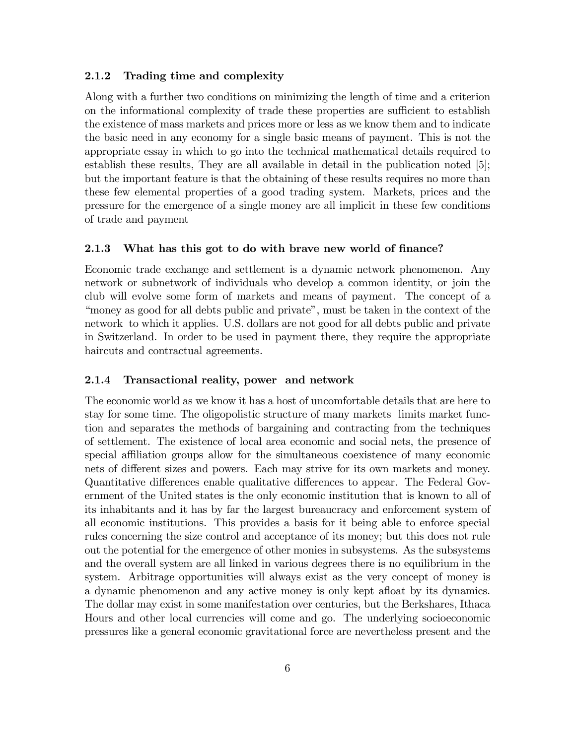#### 2.1.2 Trading time and complexity

Along with a further two conditions on minimizing the length of time and a criterion on the informational complexity of trade these properties are sufficient to establish the existence of mass markets and prices more or less as we know them and to indicate the basic need in any economy for a single basic means of payment. This is not the appropriate essay in which to go into the technical mathematical details required to establish these results, They are all available in detail in the publication noted [5]; but the important feature is that the obtaining of these results requires no more than these few elemental properties of a good trading system. Markets, prices and the pressure for the emergence of a single money are all implicit in these few conditions of trade and payment

#### 2.1.3 What has this got to do with brave new world of finance?

Economic trade exchange and settlement is a dynamic network phenomenon. Any network or subnetwork of individuals who develop a common identity, or join the club will evolve some form of markets and means of payment. The concept of a "money as good for all debts public and private", must be taken in the context of the network to which it applies. U.S. dollars are not good for all debts public and private in Switzerland. In order to be used in payment there, they require the appropriate haircuts and contractual agreements.

#### 2.1.4 Transactional reality, power and network

The economic world as we know it has a host of uncomfortable details that are here to stay for some time. The oligopolistic structure of many markets limits market function and separates the methods of bargaining and contracting from the techniques of settlement. The existence of local area economic and social nets, the presence of special affiliation groups allow for the simultaneous coexistence of many economic nets of different sizes and powers. Each may strive for its own markets and money. Quantitative differences enable qualitative differences to appear. The Federal Government of the United states is the only economic institution that is known to all of its inhabitants and it has by far the largest bureaucracy and enforcement system of all economic institutions. This provides a basis for it being able to enforce special rules concerning the size control and acceptance of its money; but this does not rule out the potential for the emergence of other monies in subsystems. As the subsystems and the overall system are all linked in various degrees there is no equilibrium in the system. Arbitrage opportunities will always exist as the very concept of money is a dynamic phenomenon and any active money is only kept aáoat by its dynamics. The dollar may exist in some manifestation over centuries, but the Berkshares, Ithaca Hours and other local currencies will come and go. The underlying socioeconomic pressures like a general economic gravitational force are nevertheless present and the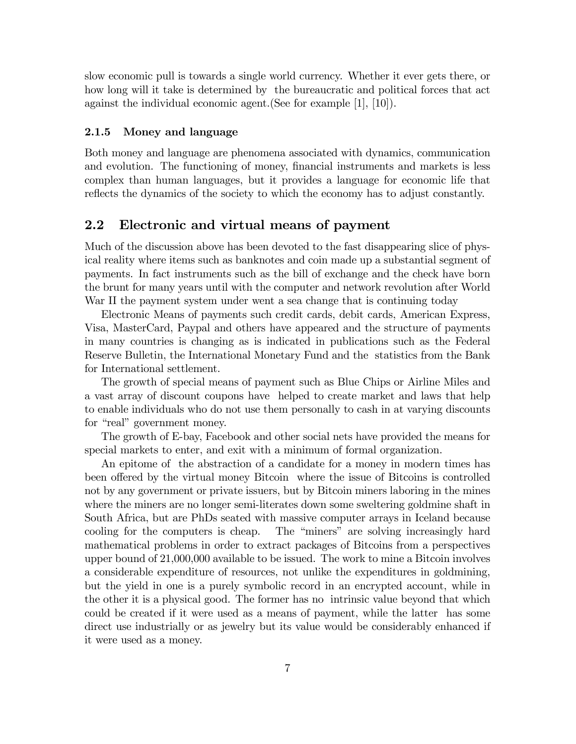slow economic pull is towards a single world currency. Whether it ever gets there, or how long will it take is determined by the bureaucratic and political forces that act against the individual economic agent.(See for example [1], [10]).

#### 2.1.5 Money and language

Both money and language are phenomena associated with dynamics, communication and evolution. The functioning of money, financial instruments and markets is less complex than human languages, but it provides a language for economic life that reflects the dynamics of the society to which the economy has to adjust constantly.

### 2.2 Electronic and virtual means of payment

Much of the discussion above has been devoted to the fast disappearing slice of physical reality where items such as banknotes and coin made up a substantial segment of payments. In fact instruments such as the bill of exchange and the check have born the brunt for many years until with the computer and network revolution after World War II the payment system under went a sea change that is continuing today

Electronic Means of payments such credit cards, debit cards, American Express, Visa, MasterCard, Paypal and others have appeared and the structure of payments in many countries is changing as is indicated in publications such as the Federal Reserve Bulletin, the International Monetary Fund and the statistics from the Bank for International settlement.

The growth of special means of payment such as Blue Chips or Airline Miles and a vast array of discount coupons have helped to create market and laws that help to enable individuals who do not use them personally to cash in at varying discounts for "real" government money.

The growth of E-bay, Facebook and other social nets have provided the means for special markets to enter, and exit with a minimum of formal organization.

An epitome of the abstraction of a candidate for a money in modern times has been offered by the virtual money Bitcoin where the issue of Bitcoins is controlled not by any government or private issuers, but by Bitcoin miners laboring in the mines where the miners are no longer semi-literates down some sweltering goldmine shaft in South Africa, but are PhDs seated with massive computer arrays in Iceland because cooling for the computers is cheap. The "miners" are solving increasingly hard mathematical problems in order to extract packages of Bitcoins from a perspectives upper bound of 21,000,000 available to be issued. The work to mine a Bitcoin involves a considerable expenditure of resources, not unlike the expenditures in goldmining, but the yield in one is a purely symbolic record in an encrypted account, while in the other it is a physical good. The former has no intrinsic value beyond that which could be created if it were used as a means of payment, while the latter has some direct use industrially or as jewelry but its value would be considerably enhanced if it were used as a money.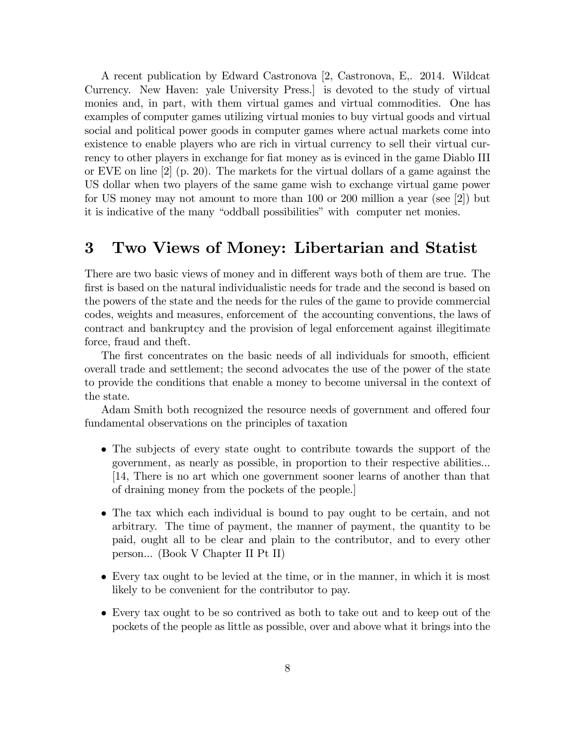A recent publication by Edward Castronova [2, Castronova, E,. 2014. Wildcat Currency. New Haven: yale University Press.] is devoted to the study of virtual monies and, in part, with them virtual games and virtual commodities. One has examples of computer games utilizing virtual monies to buy virtual goods and virtual social and political power goods in computer games where actual markets come into existence to enable players who are rich in virtual currency to sell their virtual currency to other players in exchange for fiat money as is evinced in the game Diablo III or EVE on line [2] (p. 20). The markets for the virtual dollars of a game against the US dollar when two players of the same game wish to exchange virtual game power for US money may not amount to more than 100 or 200 million a year (see [2]) but it is indicative of the many "oddball possibilities" with computer net monies.

# 3 Two Views of Money: Libertarian and Statist

There are two basic views of money and in different ways both of them are true. The first is based on the natural individualistic needs for trade and the second is based on the powers of the state and the needs for the rules of the game to provide commercial codes, weights and measures, enforcement of the accounting conventions, the laws of contract and bankruptcy and the provision of legal enforcement against illegitimate force, fraud and theft.

The first concentrates on the basic needs of all individuals for smooth, efficient overall trade and settlement; the second advocates the use of the power of the state to provide the conditions that enable a money to become universal in the context of the state.

Adam Smith both recognized the resource needs of government and offered four fundamental observations on the principles of taxation

- The subjects of every state ought to contribute towards the support of the government, as nearly as possible, in proportion to their respective abilities... [14, There is no art which one government sooner learns of another than that of draining money from the pockets of the people.]
- The tax which each individual is bound to pay ought to be certain, and not arbitrary. The time of payment, the manner of payment, the quantity to be paid, ought all to be clear and plain to the contributor, and to every other person... (Book V Chapter II Pt II)
- Every tax ought to be levied at the time, or in the manner, in which it is most likely to be convenient for the contributor to pay.
- Every tax ought to be so contrived as both to take out and to keep out of the pockets of the people as little as possible, over and above what it brings into the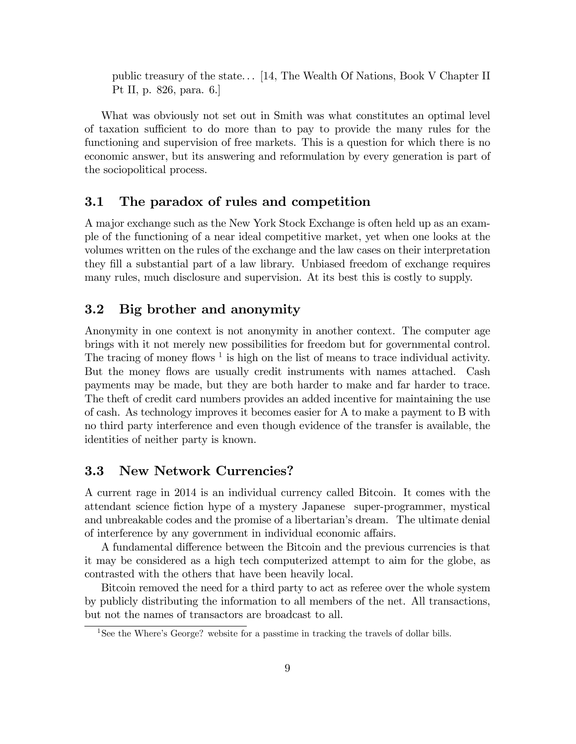public treasury of the state. . . [14, The Wealth Of Nations, Book V Chapter II Pt II, p. 826, para. 6.]

What was obviously not set out in Smith was what constitutes an optimal level of taxation su¢ cient to do more than to pay to provide the many rules for the functioning and supervision of free markets. This is a question for which there is no economic answer, but its answering and reformulation by every generation is part of the sociopolitical process.

### 3.1 The paradox of rules and competition

A major exchange such as the New York Stock Exchange is often held up as an example of the functioning of a near ideal competitive market, yet when one looks at the volumes written on the rules of the exchange and the law cases on their interpretation they Öll a substantial part of a law library. Unbiased freedom of exchange requires many rules, much disclosure and supervision. At its best this is costly to supply.

### 3.2 Big brother and anonymity

Anonymity in one context is not anonymity in another context. The computer age brings with it not merely new possibilities for freedom but for governmental control. The tracing of money flows  $1$  is high on the list of means to trace individual activity. But the money flows are usually credit instruments with names attached. Cash payments may be made, but they are both harder to make and far harder to trace. The theft of credit card numbers provides an added incentive for maintaining the use of cash. As technology improves it becomes easier for A to make a payment to B with no third party interference and even though evidence of the transfer is available, the identities of neither party is known.

### 3.3 New Network Currencies?

A current rage in 2014 is an individual currency called Bitcoin. It comes with the attendant science Öction hype of a mystery Japanese super-programmer, mystical and unbreakable codes and the promise of a libertarian's dream. The ultimate denial of interference by any government in individual economic affairs.

A fundamental difference between the Bitcoin and the previous currencies is that it may be considered as a high tech computerized attempt to aim for the globe, as contrasted with the others that have been heavily local.

Bitcoin removed the need for a third party to act as referee over the whole system by publicly distributing the information to all members of the net. All transactions, but not the names of transactors are broadcast to all.

<sup>&</sup>lt;sup>1</sup>See the Where's George? website for a passtime in tracking the travels of dollar bills.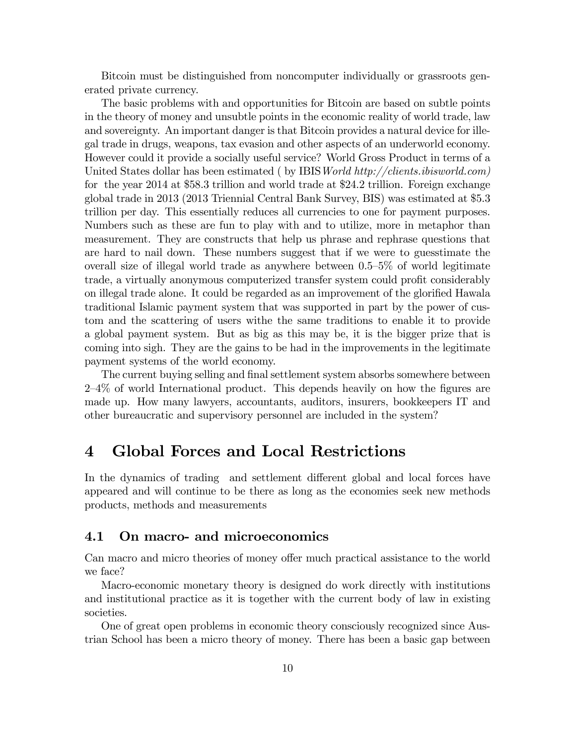Bitcoin must be distinguished from noncomputer individually or grassroots generated private currency.

The basic problems with and opportunities for Bitcoin are based on subtle points in the theory of money and unsubtle points in the economic reality of world trade, law and sovereignty. An important danger is that Bitcoin provides a natural device for illegal trade in drugs, weapons, tax evasion and other aspects of an underworld economy. However could it provide a socially useful service? World Gross Product in terms of a United States dollar has been estimated (by IBIS World http://clients.ibisworld.com) for the year 2014 at \$58.3 trillion and world trade at \$24.2 trillion. Foreign exchange global trade in 2013 (2013 Triennial Central Bank Survey, BIS) was estimated at \$5.3 trillion per day. This essentially reduces all currencies to one for payment purposes. Numbers such as these are fun to play with and to utilize, more in metaphor than measurement. They are constructs that help us phrase and rephrase questions that are hard to nail down. These numbers suggest that if we were to guesstimate the overall size of illegal world trade as anywhere between  $0.5-5\%$  of world legitimate trade, a virtually anonymous computerized transfer system could profit considerably on illegal trade alone. It could be regarded as an improvement of the glorified Hawala traditional Islamic payment system that was supported in part by the power of custom and the scattering of users withe the same traditions to enable it to provide a global payment system. But as big as this may be, it is the bigger prize that is coming into sigh. They are the gains to be had in the improvements in the legitimate payment systems of the world economy.

The current buying selling and final settlement system absorbs somewhere between  $2-4\%$  of world International product. This depends heavily on how the figures are made up. How many lawyers, accountants, auditors, insurers, bookkeepers IT and other bureaucratic and supervisory personnel are included in the system?

## 4 Global Forces and Local Restrictions

In the dynamics of trading and settlement different global and local forces have appeared and will continue to be there as long as the economies seek new methods products, methods and measurements

### 4.1 On macro- and microeconomics

Can macro and micro theories of money offer much practical assistance to the world we face?

Macro-economic monetary theory is designed do work directly with institutions and institutional practice as it is together with the current body of law in existing societies.

One of great open problems in economic theory consciously recognized since Austrian School has been a micro theory of money. There has been a basic gap between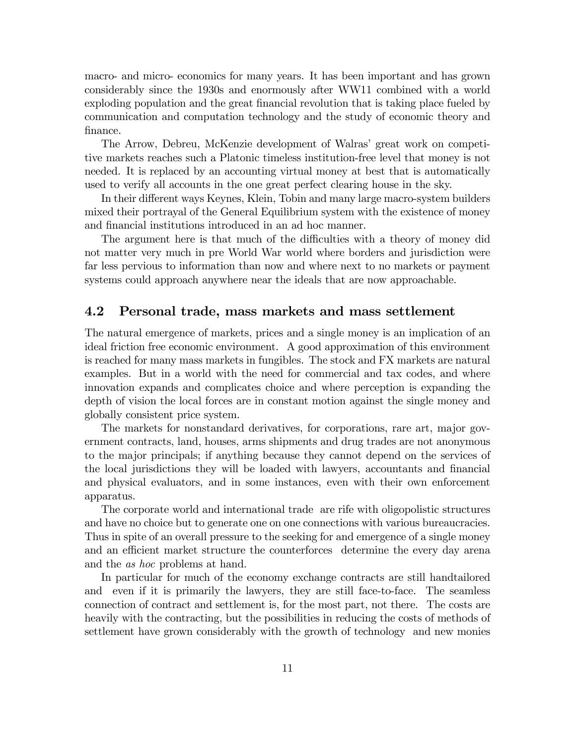macro- and micro- economics for many years. It has been important and has grown considerably since the 1930s and enormously after WW11 combined with a world exploding population and the great financial revolution that is taking place fueled by communication and computation technology and the study of economic theory and finance.

The Arrow, Debreu, McKenzie development of Walras' great work on competitive markets reaches such a Platonic timeless institution-free level that money is not needed. It is replaced by an accounting virtual money at best that is automatically used to verify all accounts in the one great perfect clearing house in the sky.

In their different ways Keynes, Klein, Tobin and many large macro-system builders mixed their portrayal of the General Equilibrium system with the existence of money and financial institutions introduced in an ad hoc manner.

The argument here is that much of the difficulties with a theory of money did not matter very much in pre World War world where borders and jurisdiction were far less pervious to information than now and where next to no markets or payment systems could approach anywhere near the ideals that are now approachable.

### 4.2 Personal trade, mass markets and mass settlement

The natural emergence of markets, prices and a single money is an implication of an ideal friction free economic environment. A good approximation of this environment is reached for many mass markets in fungibles. The stock and FX markets are natural examples. But in a world with the need for commercial and tax codes, and where innovation expands and complicates choice and where perception is expanding the depth of vision the local forces are in constant motion against the single money and globally consistent price system.

The markets for nonstandard derivatives, for corporations, rare art, major government contracts, land, houses, arms shipments and drug trades are not anonymous to the major principals; if anything because they cannot depend on the services of the local jurisdictions they will be loaded with lawyers, accountants and financial and physical evaluators, and in some instances, even with their own enforcement apparatus.

The corporate world and international trade are rife with oligopolistic structures and have no choice but to generate one on one connections with various bureaucracies. Thus in spite of an overall pressure to the seeking for and emergence of a single money and an efficient market structure the counterforces determine the every day arena and the as hoc problems at hand.

In particular for much of the economy exchange contracts are still handtailored and even if it is primarily the lawyers, they are still face-to-face. The seamless connection of contract and settlement is, for the most part, not there. The costs are heavily with the contracting, but the possibilities in reducing the costs of methods of settlement have grown considerably with the growth of technology and new monies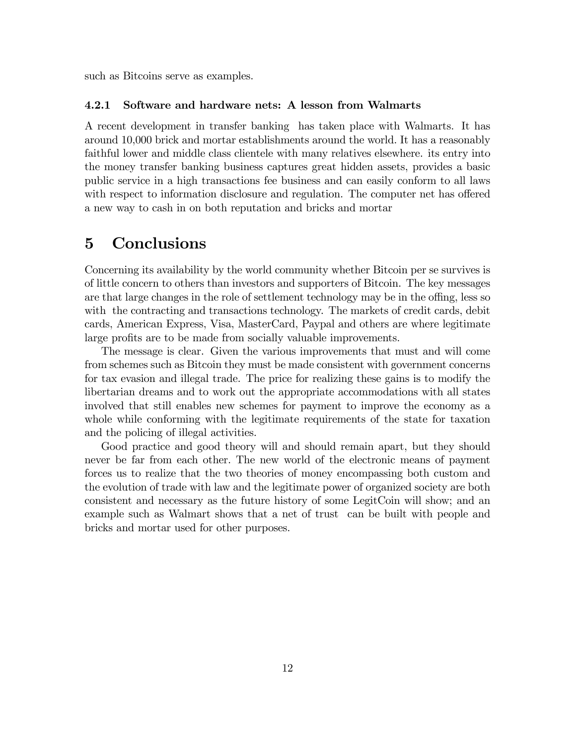such as Bitcoins serve as examples.

#### 4.2.1 Software and hardware nets: A lesson from Walmarts

A recent development in transfer banking has taken place with Walmarts. It has around 10,000 brick and mortar establishments around the world. It has a reasonably faithful lower and middle class clientele with many relatives elsewhere. its entry into the money transfer banking business captures great hidden assets, provides a basic public service in a high transactions fee business and can easily conform to all laws with respect to information disclosure and regulation. The computer net has offered a new way to cash in on both reputation and bricks and mortar

# 5 Conclusions

Concerning its availability by the world community whether Bitcoin per se survives is of little concern to others than investors and supporters of Bitcoin. The key messages are that large changes in the role of settlement technology may be in the offing, less so with the contracting and transactions technology. The markets of credit cards, debit cards, American Express, Visa, MasterCard, Paypal and others are where legitimate large profits are to be made from socially valuable improvements.

The message is clear. Given the various improvements that must and will come from schemes such as Bitcoin they must be made consistent with government concerns for tax evasion and illegal trade. The price for realizing these gains is to modify the libertarian dreams and to work out the appropriate accommodations with all states involved that still enables new schemes for payment to improve the economy as a whole while conforming with the legitimate requirements of the state for taxation and the policing of illegal activities.

Good practice and good theory will and should remain apart, but they should never be far from each other. The new world of the electronic means of payment forces us to realize that the two theories of money encompassing both custom and the evolution of trade with law and the legitimate power of organized society are both consistent and necessary as the future history of some LegitCoin will show; and an example such as Walmart shows that a net of trust can be built with people and bricks and mortar used for other purposes.